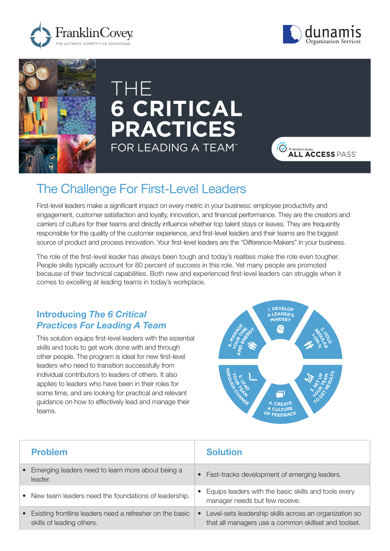





# THE **6 CRITICAL PRACTICES** FOR LEADING A TEAM™



## The Challenge For First-Level Leaders

First-level leaders make a significant impact on every metric in your business: employee productivity and engagement, customer satisfaction and loyalty, innovation, and financial performance. They are the creators and carriers of culture for their teams and directly influence whether top talent stays or leaves. They are frequently responsible for the quality of the customer experience, and first-level leaders and their teams are the biggest source of product and process innovation. Your first-level leaders are the "Difference-Makers" in your business.

The role of the first-level leader has always been tough and today's realities make the role even tougher. People skills typically account for 80 percent of success in this role. Yet many people are promoted because of their technical capabilities. Both new and experienced first-level leaders can struggle when it comes to excelling at leading teams in today's workplace.

#### Introducing *The 6 Critical Practices For Leading A Team*

This solution equips first-level leaders with the essential skills and tools to get work done with and through other people. The program is ideal for new first-level leaders who need to transition successfully from individual contributors to leaders of others. It also applies to leaders who have been in their roles for some time, and are looking for practical and relevant guidance on how to effectively lead and manage their teams.



| <b>Problem</b>                                                                          | <b>Solution</b>                                                                                                |
|-----------------------------------------------------------------------------------------|----------------------------------------------------------------------------------------------------------------|
| • Emerging leaders need to learn more about being a<br>leader.                          | Fast-tracks development of emerging leaders.                                                                   |
| • New team leaders need the foundations of leadership.                                  | Equips leaders with the basic skills and tools every<br>manager needs but few receive.                         |
| • Existing frontline leaders need a refresher on the basic<br>skills of leading others. | Level-sets leadership skills across an organization so<br>that all managers use a common skillset and toolset. |